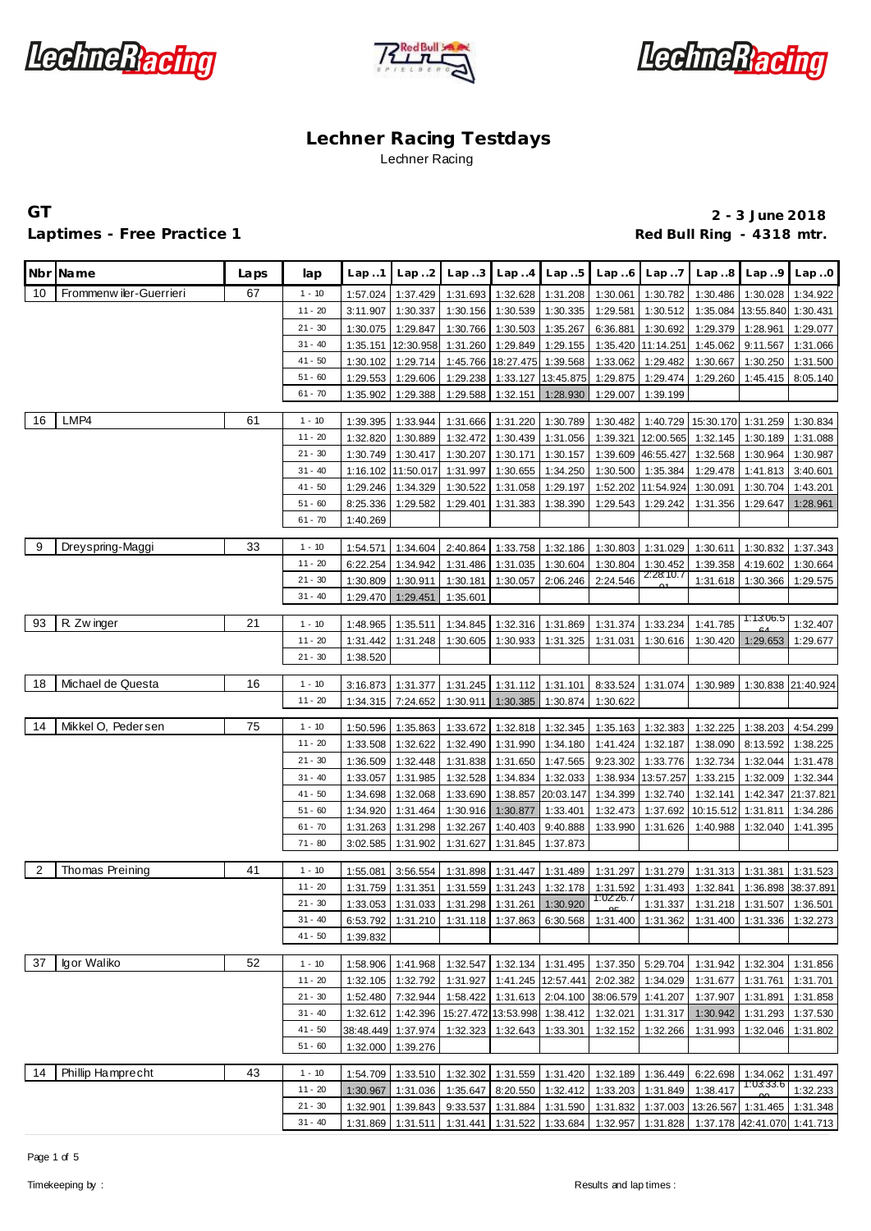





**GT 2 - 3 June 2018** Laptimes - Free Practice 1 **Red Bull Ring - 4318 mtr. Red Bull Ring - 4318 mtr.** 

|                | Nbr Name                | Laps | lap       | Lap.1    | Lap.2              | Lap.3    | Lap.4                       | Lap.5                                      | Lap.6     | Lap.7                 | Lap.8                                                                                 | Lap.9                 | Lap.0              |
|----------------|-------------------------|------|-----------|----------|--------------------|----------|-----------------------------|--------------------------------------------|-----------|-----------------------|---------------------------------------------------------------------------------------|-----------------------|--------------------|
| 10             | Frommenw iler-Guerrieri | 67   | $1 - 10$  | 1:57.024 | 1:37.429           | 1:31.693 | 1:32.628                    | 1:31.208                                   | 1:30.061  | 1:30.782              | 1:30.486                                                                              | 1:30.028              | 1:34.922           |
|                |                         |      | $11 - 20$ | 3:11.907 | 1:30.337           | 1:30.156 | 1:30.539                    | 1:30.335                                   | 1:29.581  | 1:30.512              | 1:35.084                                                                              | 13:55.840             | 1:30.431           |
|                |                         |      | $21 - 30$ | 1:30.075 | 1:29.847           | 1:30.766 | 1:30.503                    | 1:35.267                                   | 6:36.881  | 1:30.692              | 1:29.379                                                                              | 1:28.961              | 1:29.077           |
|                |                         |      | $31 - 40$ | 1:35.151 | 12:30.958          |          | 1:31.260 1:29.849           | 1:29.155                                   |           | 1:35.420 11:14.251    | 1:45.062                                                                              | 9:11.567              | 1:31.066           |
|                |                         |      | $41 - 50$ | 1:30.102 | 1:29.714           |          | 1:45.766 18:27.475 1:39.568 |                                            | 1:33.062  | 1:29.482              | 1:30.667                                                                              | 1:30.250              | 1:31.500           |
|                |                         |      | $51 - 60$ | 1:29.553 | 1:29.606           | 1:29.238 |                             | 1:33.127 13:45.875                         | 1:29.875  | 1:29.474              | 1:29.260                                                                              | 1:45.415              | 8:05.140           |
|                |                         |      | $61 - 70$ | 1:35.902 | 1:29.388           | 1:29.588 | 1:32.151                    | 1:28.930                                   | 1:29.007  | 1:39.199              |                                                                                       |                       |                    |
|                |                         |      |           |          |                    |          |                             |                                            |           |                       |                                                                                       |                       |                    |
| 16             | LMP4                    | 61   | $1 - 10$  | 1:39.395 | 1:33.944           | 1:31.666 | 1:31.220                    | 1:30.789                                   | 1:30.482  |                       | 1:40.729 15:30.170                                                                    | 1:31.259              | 1:30.834           |
|                |                         |      | $11 - 20$ | 1:32.820 | 1:30.889           | 1:32.472 | 1:30.439                    | 1:31.056                                   | 1:39.321  | 12:00.565             | 1:32.145                                                                              | 1:30.189              | 1:31.088           |
|                |                         |      | $21 - 30$ | 1:30.749 | 1:30.417           | 1:30.207 | 1:30.171                    | 1:30.157                                   |           | 1:39.609 46:55.427    | 1:32.568                                                                              | 1:30.964              | 1:30.987           |
|                |                         |      | $31 - 40$ | 1:16.102 | 11:50.017          | 1:31.997 | 1:30.655                    | 1:34.250                                   | 1:30.500  | 1:35.384              | 1:29.478                                                                              | 1:41.813              | 3:40.601           |
|                |                         |      | $41 - 50$ | 1:29.246 | 1:34.329           | 1:30.522 | 1:31.058                    | 1:29.197                                   |           | 1:52.202 11:54.924    | 1:30.091                                                                              | 1:30.704              | 1:43.201           |
|                |                         |      | $51 - 60$ | 8:25.336 | 1:29.582           | 1:29.401 | 1:31.383                    | 1:38.390                                   | 1:29.543  | 1:29.242              | 1:31.356                                                                              | 1:29.647              | 1:28.961           |
|                |                         |      | $61 - 70$ | 1:40.269 |                    |          |                             |                                            |           |                       |                                                                                       |                       |                    |
|                |                         |      |           |          |                    |          |                             |                                            |           |                       |                                                                                       |                       |                    |
| 9              | Dreyspring-Maggi        | 33   | $1 - 10$  | 1:54.571 | 1:34.604           | 2:40.864 | 1:33.758                    | 1:32.186                                   | 1:30.803  | 1:31.029              | 1:30.611                                                                              | 1:30.832              | 1:37.343           |
|                |                         |      | $11 - 20$ | 6:22.254 | 1:34.942           |          | 1:31.486 1:31.035           | 1:30.604                                   | 1:30.804  | 1:30.452<br>2:28:10.7 | 1:39.358                                                                              | 4:19.602              | 1:30.664           |
|                |                         |      | $21 - 30$ | 1:30.809 | 1:30.911           | 1:30.181 |                             | 1:30.057 2:06.246                          | 2:24.546  |                       | 1:31.618                                                                              | 1:30.366              | 1:29.575           |
|                |                         |      | $31 - 40$ | 1:29.470 | 1:29.451           | 1:35.601 |                             |                                            |           |                       |                                                                                       |                       |                    |
| 93             | R. Zw inger             | 21   | $1 - 10$  | 1:48.965 | 1:35.511           | 1:34.845 |                             | 1:32.316 1:31.869                          | 1:31.374  | 1:33.234              | 1:41.785                                                                              | 1:13.06.5             | 1:32.407           |
|                |                         |      | $11 - 20$ | 1:31.442 | 1:31.248           | 1:30.605 |                             | 1:30.933 1:31.325                          | 1:31.031  | 1:30.616              | 1:30.420                                                                              | 1:29.653              | 1:29.677           |
|                |                         |      | $21 - 30$ | 1:38.520 |                    |          |                             |                                            |           |                       |                                                                                       |                       |                    |
|                |                         |      |           |          |                    |          |                             |                                            |           |                       |                                                                                       |                       |                    |
| 18             | Michael de Questa       | 16   | $1 - 10$  | 3:16.873 | 1:31.377           | 1:31.245 | 1:31.112                    | 1:31.101                                   | 8:33.524  | 1:31.074              | 1:30.989                                                                              |                       | 1:30.838 21:40.924 |
|                |                         |      | $11 - 20$ | 1:34.315 | 7:24.652           | 1:30.911 | 1:30.385                    | 1:30.874                                   | 1:30.622  |                       |                                                                                       |                       |                    |
|                |                         |      |           |          |                    |          |                             |                                            |           |                       |                                                                                       |                       |                    |
| 14             | Mikkel O, Pedersen      | 75   | $1 - 10$  | 1:50.596 | 1:35.863           | 1:33.672 | 1:32.818                    | 1:32.345                                   | 1:35.163  | 1:32.383              | 1:32.225                                                                              | 1:38.203              | 4:54.299           |
|                |                         |      | $11 - 20$ | 1:33.508 | 1:32.622           | 1:32.490 | 1:31.990                    | 1:34.180                                   | 1:41.424  | 1:32.187              | 1:38.090                                                                              | 8:13.592              | 1:38.225           |
|                |                         |      | $21 - 30$ | 1:36.509 | 1:32.448           | 1:31.838 | 1:31.650                    | 1:47.565                                   | 9:23.302  | 1:33.776              | 1:32.734                                                                              | 1:32.044              | 1:31.478           |
|                |                         |      | $31 - 40$ | 1:33.057 | 1:31.985           | 1:32.528 | 1:34.834                    | 1:32.033                                   | 1:38.934  | 13:57.257             | 1:33.215                                                                              | 1:32.009              | 1:32.344           |
|                |                         |      | $41 - 50$ | 1:34.698 | 1:32.068           | 1:33.690 |                             | 1:38.857 20:03.147                         | 1:34.399  | 1:32.740              | 1:32.141                                                                              | 1:42.347              | 21:37.821          |
|                |                         |      | $51 - 60$ | 1:34.920 | 1:31.464           | 1:30.916 | 1:30.877                    | 1:33.401                                   | 1:32.473  | 1:37.692              | 10:15.512                                                                             | 1:31.811              | 1:34.286           |
|                |                         |      | $61 - 70$ | 1:31.263 | 1:31.298           | 1:32.267 | 1:40.403                    | 9:40.888                                   | 1:33.990  | 1:31.626              | 1:40.988                                                                              | 1:32.040              | 1:41.395           |
|                |                         |      | $71 - 80$ | 3:02.585 | 1:31.902           |          | 1:31.627 1:31.845 1:37.873  |                                            |           |                       |                                                                                       |                       |                    |
| $\overline{2}$ | Thomas Preining         | 41   | $1 - 10$  | 1:55.081 | 3:56.554           | 1:31.898 | 1:31.447                    | 1:31.489                                   | 1:31.297  | 1:31.279              | 1:31.313                                                                              | 1:31.381              | 1:31.523           |
|                |                         |      | $11 - 20$ | 1:31.759 | 1:31.351           | 1:31.559 |                             | 1:31.243 1:32.178                          | 1:31.592  | 1:31.493              | 1:32.841                                                                              | 1:36.898              | 38:37.891          |
|                |                         |      | $21 - 30$ | 1:33.053 | 1:31.033           | 1:31.298 | 1:31.261                    | 1:30.920                                   | 1:02.26.7 | 1:31.337              | 1:31.218                                                                              | 1:31.507              | 1:36.501           |
|                |                         |      | $31 - 40$ | 6:53.792 |                    |          |                             |                                            |           |                       | 1:31.210   1:31.118   1:37.863   6:30.568   1:31.400   1:31.362   1:31.400   1:31.336 |                       | 1:32.273           |
|                |                         |      | $41 - 50$ | 1:39.832 |                    |          |                             |                                            |           |                       |                                                                                       |                       |                    |
|                |                         |      |           |          |                    |          |                             |                                            |           |                       |                                                                                       |                       |                    |
| 37             | Igor Waliko             | 52   | $1 - 10$  | 1:58.906 | 1:41.968           |          |                             | 1:32.547 1:32.134 1:31.495                 |           | 1:37.350 5:29.704     | 1:31.942                                                                              | 1:32.304              | 1:31.856           |
|                |                         |      | $11 - 20$ | 1:32.105 | 1:32.792           |          |                             | 1:31.927 1:41.245 12:57.441                | 2:02.382  | 1:34.029              | 1:31.677                                                                              | 1:31.761              | 1:31.701           |
|                |                         |      | $21 - 30$ | 1:52.480 | 7:32.944           |          |                             | 1:58.422   1:31.613   2:04.100   38:06.579 |           | 1:41.207              | 1:37.907                                                                              | 1:31.891              | 1:31.858           |
|                |                         |      | $31 - 40$ | 1:32.612 | 1:42.396           |          |                             | 15:27.472 13:53.998 1:38.412               | 1:32.021  |                       | 1:31.317 1:30.942                                                                     | 1:31.293              | 1:37.530           |
|                |                         |      | $41 - 50$ |          | 38:48.449 1:37.974 |          | 1:32.323 1:32.643 1:33.301  |                                            | 1:32.152  | 1:32.266              | 1:31.993                                                                              | 1:32.046              | 1:31.802           |
|                |                         |      | $51 - 60$ | 1:32.000 | 1:39.276           |          |                             |                                            |           |                       |                                                                                       |                       |                    |
|                |                         |      |           |          |                    |          |                             |                                            |           |                       |                                                                                       |                       |                    |
| 14             | Phillip Hamprecht       | 43   | $1 - 10$  | 1:54.709 | 1:33.510           |          |                             | 1:32.302 1:31.559 1:31.420                 | 1:32.189  | 1:36.449              | 6:22.698                                                                              | 1:34.062<br>1:03:33.6 | 1:31.497           |
|                |                         |      | $11 - 20$ | 1:30.967 | 1:31.036           | 1:35.647 |                             | 8:20.550 1:32.412                          | 1:33.203  | 1:31.849              | 1:38.417                                                                              |                       | 1:32.233           |
|                |                         |      | $21 - 30$ | 1:32.901 | 1:39.843           |          |                             |                                            |           |                       | 9:33.537   1:31.884   1:31.590   1:31.832   1:37.003   13:26.567   1:31.465           |                       | 1:31.348           |
|                |                         |      | $31 - 40$ | 1:31.869 | 1:31.511           |          |                             | 1:31.441 1:31.522 1:33.684                 |           |                       | 1:32.957 1:31.828 1:37.178 42:41.070 1:41.713                                         |                       |                    |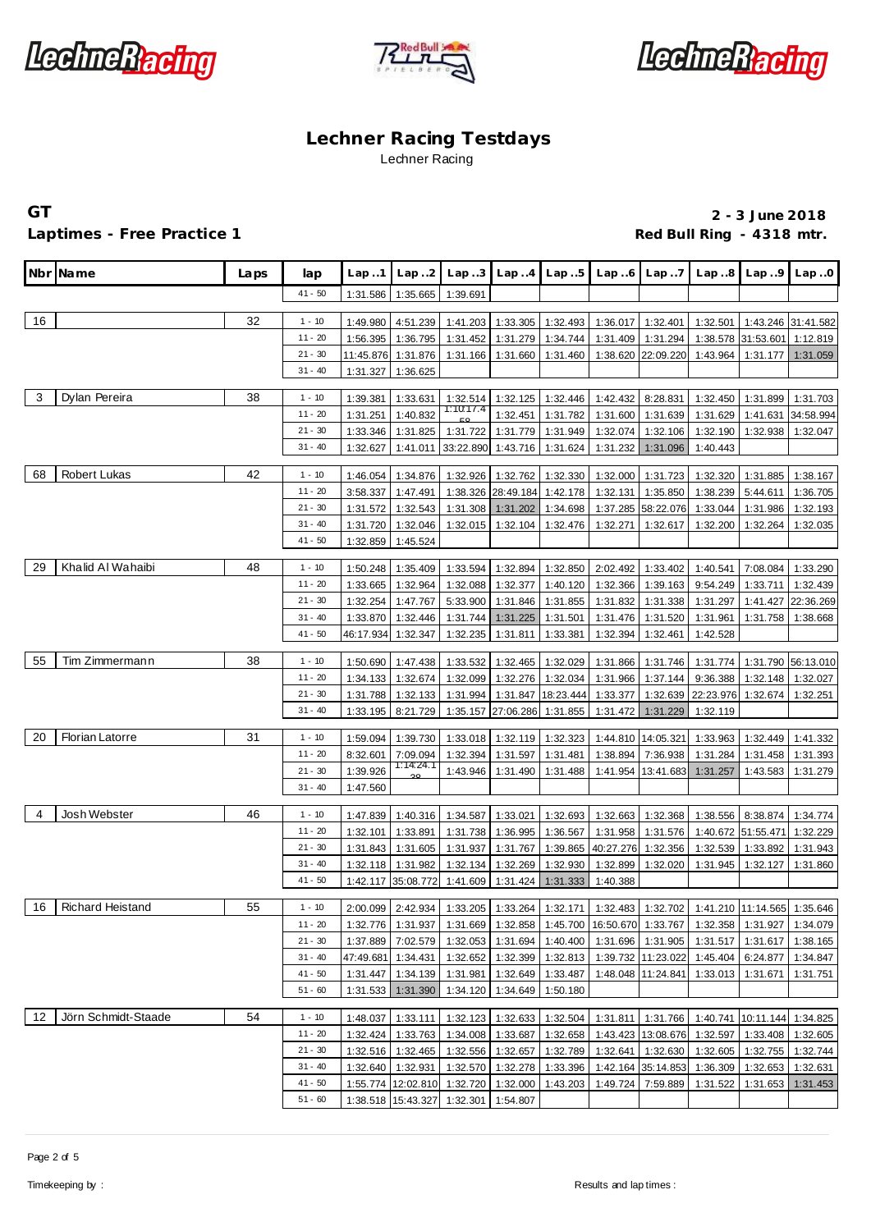





### Laptimes - Free Practice 1 **Red Bull Ring - 4318 mtr. Red Bull Ring - 4318 mtr.**

|              | Nbr Name                | Laps | lap       | Lap.1                | Lap.2                | Lap.3                                                 |                            | $Lap.4$ $Lap.5$      | Lap.6                 | Lap7                 | Lap.8                                                                                                        | Lap.9                          | Lap.0                |
|--------------|-------------------------|------|-----------|----------------------|----------------------|-------------------------------------------------------|----------------------------|----------------------|-----------------------|----------------------|--------------------------------------------------------------------------------------------------------------|--------------------------------|----------------------|
|              |                         |      | $41 - 50$ | 1:31.586             | 1:35.665             | 1:39.691                                              |                            |                      |                       |                      |                                                                                                              |                                |                      |
| 16           |                         | 32   | $1 - 10$  | 1:49.980             | 4:51.239             | 1:41.203                                              | 1:33.305                   | 1:32.493             | 1:36.017              | 1:32.401             | 1:32.501                                                                                                     |                                | 1:43.246 31:41.582   |
|              |                         |      | $11 - 20$ | 1:56.395             | 1:36.795             | 1:31.452                                              | 1:31.279                   | 1:34.744             | 1:31.409              | 1:31.294             |                                                                                                              | 1:38.578 31:53.601             | 1:12.819             |
|              |                         |      | $21 - 30$ | 11:45.876            | 1:31.876             | 1:31.166                                              | 1:31.660                   | 1:31.460             |                       | 1:38.620 22:09.220   | 1:43.964                                                                                                     | 1:31.177                       | 1:31.059             |
|              |                         |      | $31 - 40$ | 1:31.327             | 1:36.625             |                                                       |                            |                      |                       |                      |                                                                                                              |                                |                      |
|              |                         |      |           |                      |                      |                                                       |                            |                      |                       |                      |                                                                                                              |                                |                      |
| $\mathbf{3}$ | Dylan Pereira           | 38   | $1 - 10$  | 1:39.381             | 1:33.631             | 1:32.514                                              |                            | 1:32.125 1:32.446    | 1:42.432              | 8:28.831             | 1:32.450                                                                                                     | 1:31.899                       | 1:31.703             |
|              |                         |      | $11 - 20$ | 1:31.251             | 1:40.832             | 1:10:17.4                                             | 1:32.451                   | 1:31.782             | 1:31.600              | 1:31.639             | 1:31.629                                                                                                     | 1:41.631                       | 34:58.994            |
|              |                         |      | $21 - 30$ | 1:33.346             | 1:31.825             | 1:31.722                                              | 1:31.779                   | 1:31.949             | 1:32.074              | 1:32.106             | 1:32.190                                                                                                     | 1:32.938                       | 1:32.047             |
|              |                         |      | $31 - 40$ | 1:32.627             | 1:41.011             | 33:22.890                                             | 1:43.716                   | 1:31.624             | 1:31.232              | 1:31.096             | 1:40.443                                                                                                     |                                |                      |
| 68           | Robert Lukas            | 42   | $1 - 10$  | 1:46.054             | 1:34.876             | 1:32.926                                              | 1:32.762                   | 1:32.330             | 1:32.000              | 1:31.723             | 1:32.320                                                                                                     | 1:31.885                       | 1:38.167             |
|              |                         |      | $11 - 20$ | 3:58.337             | 1:47.491             | 1:38.326                                              | 28:49.184                  | 1:42.178             | 1:32.131              | 1:35.850             | 1:38.239                                                                                                     | 5:44.611                       | 1:36.705             |
|              |                         |      | $21 - 30$ | 1:31.572             | 1:32.543             | 1:31.308                                              | 1:31.202                   | 1:34.698             | 1:37.285              | 58:22.076            | 1:33.044                                                                                                     | 1:31.986                       | 1:32.193             |
|              |                         |      | $31 - 40$ | 1:31.720             | 1:32.046             | 1:32.015                                              | 1:32.104                   | 1:32.476             | 1:32.271              | 1:32.617             | 1:32.200                                                                                                     | 1:32.264                       | 1:32.035             |
|              |                         |      | $41 - 50$ | 1:32.859             | 1:45.524             |                                                       |                            |                      |                       |                      |                                                                                                              |                                |                      |
| 29           | Khalid Al Wahaibi       | 48   | $1 - 10$  | 1:50.248             | 1:35.409             | 1:33.594                                              | 1:32.894                   | 1:32.850             | 2:02.492              | 1:33.402             | 1:40.541                                                                                                     | 7:08.084                       | 1:33.290             |
|              |                         |      | $11 - 20$ | 1:33.665             | 1:32.964             | 1:32.088                                              | 1:32.377                   | 1:40.120             | 1:32.366              | 1:39.163             | 9:54.249                                                                                                     | 1:33.711                       | 1:32.439             |
|              |                         |      | $21 - 30$ | 1:32.254             | 1:47.767             | 5:33.900                                              | 1:31.846                   | 1:31.855             | 1:31.832              | 1:31.338             | 1:31.297                                                                                                     | 1:41.427                       | 22:36.269            |
|              |                         |      | $31 - 40$ | 1:33.870             | 1:32.446             | 1:31.744                                              | 1:31.225                   | 1:31.501             | 1:31.476              | 1:31.520             | 1:31.961                                                                                                     | 1:31.758                       | 1:38.668             |
|              |                         |      | $41 - 50$ | 46:17.934            | 1:32.347             | 1:32.235                                              | 1:31.811                   | 1:33.381             | 1:32.394              | 1:32.461             | 1:42.528                                                                                                     |                                |                      |
|              |                         |      |           |                      |                      |                                                       |                            |                      |                       |                      |                                                                                                              |                                |                      |
| 55           | Tim Zimmermann          | 38   | $1 - 10$  | 1:50.690             | 1:47.438             | 1:33.532                                              | 1:32.465                   | 1:32.029             | 1:31.866              | 1:31.746             | 1:31.774                                                                                                     |                                | 1:31.790 56:13.010   |
|              |                         |      | $11 - 20$ | 1:34.133             | 1:32.674             | 1:32.099                                              | 1:32.276                   | 1:32.034             | 1:31.966              | 1:37.144             | 9:36.388                                                                                                     | 1:32.148                       | 1:32.027             |
|              |                         |      | $21 - 30$ | 1:31.788             | 1:32.133             | 1:31.994                                              | 1:31.847                   | 18:23.444            | 1:33.377              |                      | 1:32.639 22:23.976                                                                                           | 1:32.674                       | 1:32.251             |
|              |                         |      | $31 - 40$ | 1:33.195             | 8:21.729             | 1:35.157                                              | 27:06.286                  | 1:31.855             | 1:31.472              | 1:31.229             | 1:32.119                                                                                                     |                                |                      |
| 20           | <b>Florian Latorre</b>  | 31   | $1 - 10$  | 1:59.094             | 1:39.730             | 1:33.018                                              | 1:32.119                   | 1:32.323             |                       | 1:44.810 14:05.321   | 1:33.963                                                                                                     | 1:32.449                       | 1:41.332             |
|              |                         |      | $11 - 20$ | 8:32.601             | 7:09.094             | 1:32.394                                              | 1:31.597                   | 1:31.481             | 1:38.894              | 7:36.938             | 1:31.284                                                                                                     | 1:31.458                       | 1:31.393             |
|              |                         |      | $21 - 30$ | 1:39.926             | 1:14:24.1            | 1:43.946                                              | 1:31.490                   | 1:31.488             | 1:41.954              | 13:41.683            | 1:31.257                                                                                                     | 1:43.583                       | 1:31.279             |
|              |                         |      | $31 - 40$ | 1:47.560             |                      |                                                       |                            |                      |                       |                      |                                                                                                              |                                |                      |
| -4           | Josh Webster            | 46   | $1 - 10$  |                      |                      |                                                       | 1:33.021                   | 1:32.693             |                       |                      |                                                                                                              |                                | 1:34.774             |
|              |                         |      | $11 - 20$ | 1:47.839<br>1:32.101 | 1:40.316<br>1:33.891 | 1:34.587<br>1:31.738                                  |                            |                      | 1:32.663              | 1:32.368             |                                                                                                              | 1:38.556 8:38.874              |                      |
|              |                         |      | $21 - 30$ | 1:31.843             | 1:31.605             | 1:31.937                                              | 1:36.995<br>1:31.767       | 1:36.567<br>1:39.865 | 1:31.958<br>40:27.276 | 1:31.576<br>1:32.356 | 1:32.539                                                                                                     | 1:40.672 51:55.471<br>1:33.892 | 1:32.229<br>1:31.943 |
|              |                         |      | $31 - 40$ | 1:32.118             | 1:31.982             | 1:32.134                                              | 1:32.269                   | 1:32.930             | 1:32.899              | 1:32.020             | 1:31.945                                                                                                     | 1:32.127                       | 1:31.860             |
|              |                         |      | $41 - 50$ |                      | 1:42.117 35:08.772   | 1:41.609                                              | 1:31.424                   | 1:31.333             | 1:40.388              |                      |                                                                                                              |                                |                      |
|              |                         |      |           |                      |                      |                                                       |                            |                      |                       |                      |                                                                                                              |                                |                      |
| 16           | <b>Richard Heistand</b> | 55   | $1 - 10$  |                      | 2:00.099 2:42.934    |                                                       |                            |                      |                       |                      | 1:33.205   1:33.264   1:32.171   1:32.483   1:32.702   1:41.210   11:14.565   1:35.646                       |                                |                      |
|              |                         |      | $11 - 20$ |                      |                      |                                                       |                            |                      |                       |                      | 1:32.776   1:31.937   1:31.669   1:32.858   1:45.700   16:50.670   1:33.767   1:32.358   1:31.927   1:34.079 |                                |                      |
|              |                         |      | $21 - 30$ |                      | 1:37.889 7:02.579    |                                                       | 1:32.053 1:31.694 1:40.400 |                      |                       |                      | 1:31.696 1:31.905 1:31.517 1:31.617                                                                          |                                | 1:38.165             |
|              |                         |      | $31 - 40$ |                      | 47:49.681 1:34.431   |                                                       | 1:32.652 1:32.399 1:32.813 |                      |                       |                      | 1:39.732 11:23.022 1:45.404                                                                                  | 6:24.877                       | 1:34.847             |
|              |                         |      | $41 - 50$ | 1:31.447             | 1:34.139             | 1:31.981                                              | 1:32.649 1:33.487          |                      |                       | 1:48.048 11:24.841   | 1:33.013 1:31.671                                                                                            |                                | 1:31.751             |
|              |                         |      | $51 - 60$ |                      | 1:31.533 1:31.390    |                                                       | 1:34.120 1:34.649 1:50.180 |                      |                       |                      |                                                                                                              |                                |                      |
| 12           | Jörn Schmidt-Staade     | 54   | $1 - 10$  | 1:48.037             | 1:33.111             |                                                       | 1:32.123 1:32.633 1:32.504 |                      |                       |                      | 1:31.811 1:31.766 1:40.741 10:11.144 1:34.825                                                                |                                |                      |
|              |                         |      | $11 - 20$ | 1:32.424             | 1:33.763             |                                                       | 1:34.008 1:33.687 1:32.658 |                      |                       |                      | 1:43.423 13:08.676 1:32.597 1:33.408                                                                         |                                | 1:32.605             |
|              |                         |      | $21 - 30$ |                      | 1:32.516 1:32.465    |                                                       | 1:32.556 1:32.657 1:32.789 |                      |                       |                      | 1:32.641   1:32.630   1:32.605   1:32.755   1:32.744                                                         |                                |                      |
|              |                         |      | $31 - 40$ |                      | 1:32.640 1:32.931    | 1:32.570                                              | 1:32.278 1:33.396          |                      |                       |                      | 1:42.164 35:14.853 1:36.309 1:32.653                                                                         |                                | 1:32.631             |
|              |                         |      | $41 - 50$ |                      |                      | 1:55.774   12:02.810   1:32.720   1:32.000   1:43.203 |                            |                      | 1:49.724              | 7:59.889             | 1:31.522                                                                                                     | 1:31.653                       | 1:31.453             |
|              |                         |      | $51 - 60$ |                      | 1:38.518 15:43.327   | 1:32.301                                              | 1:54.807                   |                      |                       |                      |                                                                                                              |                                |                      |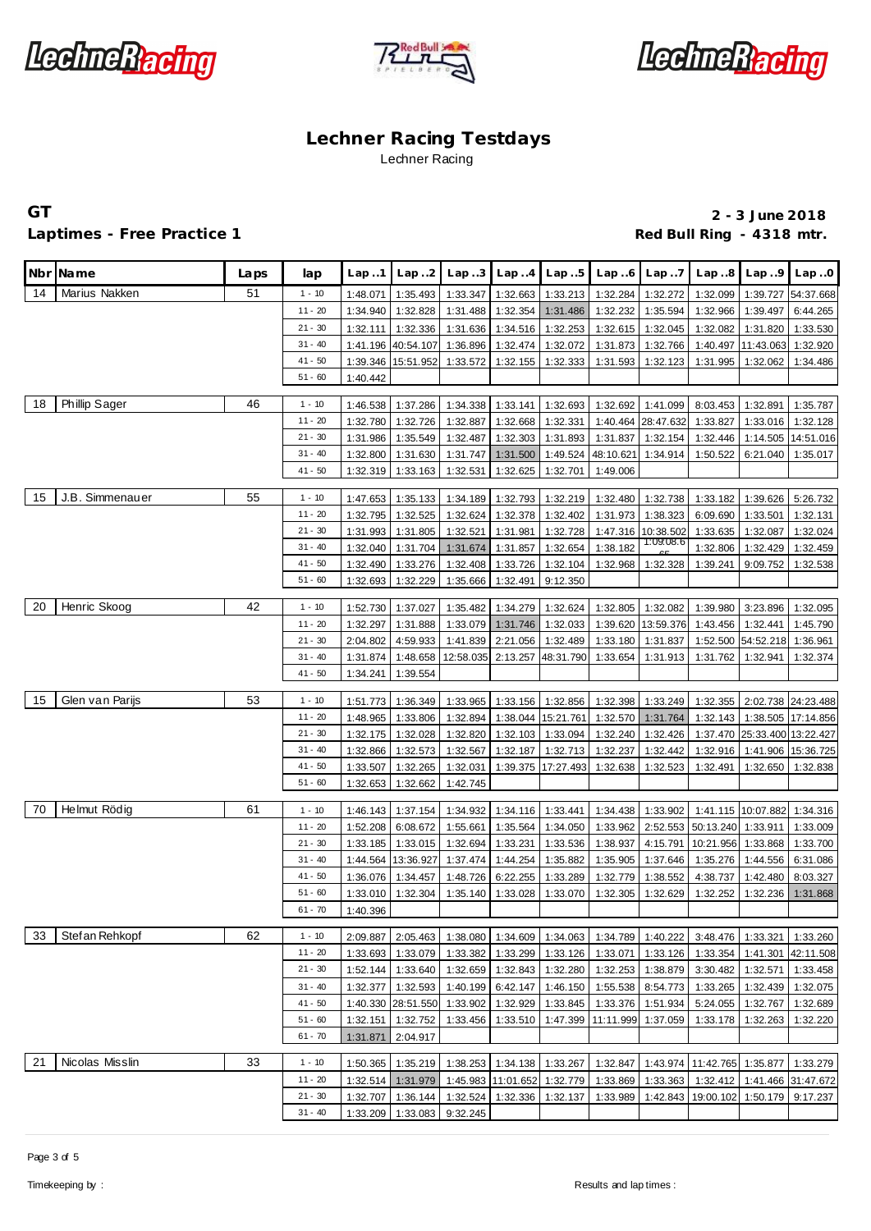





### Laptimes - Free Practice 1 **Red Bull Ring - 4318 mtr. Red Bull Ring - 4318 mtr.**

|    | Nbr Name        | Laps | lap                    | Lap.1                | Lap.2                | Lap.3                | Lap.4                | Lap.5                       | Lap.6                | Lap.7                 | Lap.8                | Lap.9                        | Lap.0                 |
|----|-----------------|------|------------------------|----------------------|----------------------|----------------------|----------------------|-----------------------------|----------------------|-----------------------|----------------------|------------------------------|-----------------------|
| 14 | Marius Nakken   | 51   | $1 - 10$               | 1:48.071             | 1:35.493             | 1:33.347             | 1:32.663             | 1:33.213                    | 1:32.284             | 1:32.272              | 1:32.099             | 1:39.727                     | 54:37.668             |
|    |                 |      | $11 - 20$              | 1:34.940             | 1:32.828             | 1:31.488             | 1:32.354             | 1:31.486                    | 1:32.232             | 1:35.594              | 1:32.966             | 1:39.497                     | 6:44.265              |
|    |                 |      | $21 - 30$              | 1:32.111             | 1:32.336             | 1:31.636             | 1:34.516             | 1:32.253                    | 1:32.615             | 1:32.045              | 1:32.082             | 1:31.820                     | 1:33.530              |
|    |                 |      | $31 - 40$              | 1:41.196             | 40:54.107 1:36.896   |                      | 1:32.474             | 1:32.072                    | 1:31.873             | 1:32.766              | 1:40.497             | 11:43.063                    | 1:32.920              |
|    |                 |      | $41 - 50$              | 1:39.346             | 15:51.952            | 1:33.572             | 1:32.155             | 1:32.333                    | 1:31.593             | 1:32.123              | 1:31.995             | 1:32.062                     | 1:34.486              |
|    |                 |      | $51 - 60$              | 1:40.442             |                      |                      |                      |                             |                      |                       |                      |                              |                       |
| 18 |                 | 46   |                        |                      |                      |                      |                      |                             |                      |                       |                      |                              |                       |
|    | Phillip Sager   |      | $1 - 10$<br>$11 - 20$  | 1:46.538             | 1:37.286<br>1:32.726 | 1:34.338             | 1:33.141<br>1:32.668 | 1:32.693<br>1:32.331        | 1:32.692             | 1:41.099<br>28:47.632 | 8:03.453<br>1:33.827 | 1:32.891                     | 1:35.787              |
|    |                 |      | $21 - 30$              | 1:32.780<br>1:31.986 | 1:35.549             | 1:32.887<br>1:32.487 | 1:32.303             | 1:31.893                    | 1:40.464<br>1:31.837 | 1:32.154              | 1:32.446             | 1:33.016<br>1:14.505         | 1:32.128<br>14:51.016 |
|    |                 |      | $31 - 40$              | 1:32.800             | 1:31.630             | 1:31.747             | 1:31.500             | 1:49.524                    | 48:10.621            | 1:34.914              | 1:50.522             | 6:21.040                     | 1:35.017              |
|    |                 |      | $41 - 50$              | 1:32.319             | 1:33.163             | 1:32.531             | 1:32.625             | 1:32.701                    | 1:49.006             |                       |                      |                              |                       |
|    |                 |      |                        |                      |                      |                      |                      |                             |                      |                       |                      |                              |                       |
| 15 | J.B. Simmenauer | 55   | $1 - 10$               | 1:47.653             | 1:35.133             | 1:34.189             |                      | 1:32.793 1:32.219           | 1:32.480             | 1:32.738              | 1:33.182             | 1:39.626                     | 5:26.732              |
|    |                 |      | $11 - 20$              | 1:32.795             | 1:32.525             | 1:32.624             | 1:32.378             | 1:32.402                    | 1:31.973             | 1:38.323              | 6:09.690             | 1:33.501                     | 1:32.131              |
|    |                 |      | $21 - 30$              | 1:31.993             | 1:31.805             | 1:32.521             | 1:31.981             | 1:32.728                    |                      | 1:47.316 10:38.502    | 1:33.635             | 1:32.087                     | 1:32.024              |
|    |                 |      | $31 - 40$              | 1:32.040             | 1:31.704             | 1:31.674             | 1:31.857             | 1:32.654                    | 1:38.182             | 1:09:08.6             | 1:32.806             | 1:32.429                     | 1:32.459              |
|    |                 |      | $41 - 50$              | 1:32.490             | 1:33.276             | 1:32.408             |                      | 1:33.726 1:32.104           | 1:32.968             | 1:32.328              | 1:39.241             | 9:09.752                     | 1:32.538              |
|    |                 |      | $51 - 60$              | 1:32.693             | 1:32.229             | 1:35.666             | 1:32.491             | 9:12.350                    |                      |                       |                      |                              |                       |
| 20 | Henric Skoog    | 42   | $1 - 10$               | 1:52.730             | 1:37.027             | 1:35.482             |                      | 1:34.279 1:32.624           | 1:32.805             | 1:32.082              | 1:39.980             | 3:23.896                     | 1:32.095              |
|    |                 |      | $11 - 20$              | 1:32.297             | 1:31.888             | 1:33.079             | 1:31.746             | 1:32.033                    |                      | 1:39.620 13:59.376    | 1:43.456             | 1:32.441                     | 1:45.790              |
|    |                 |      | $21 - 30$              | 2:04.802             | 4:59.933             | 1:41.839             | 2:21.056             | 1:32.489                    | 1:33.180             | 1:31.837              | 1:52.500             | 54:52.218                    | 1:36.961              |
|    |                 |      | $31 - 40$              | 1:31.874             | 1:48.658             | 12:58.035            | 2:13.257             | 48:31.790                   | 1:33.654             | 1:31.913              | 1:31.762             | 1:32.941                     | 1:32.374              |
|    |                 |      | $41 - 50$              | 1:34.241             | 1:39.554             |                      |                      |                             |                      |                       |                      |                              |                       |
|    |                 |      |                        |                      |                      |                      |                      |                             |                      |                       |                      |                              |                       |
| 15 | Glen van Parijs | 53   | $1 - 10$               | 1:51.773             | 1:36.349             | 1:33.965             |                      | 1:33.156 1:32.856           | 1:32.398             | 1:33.249              | 1:32.355             |                              | 2:02.738 24:23.488    |
|    |                 |      | $11 - 20$              | 1:48.965             | 1:33.806             | 1:32.894             |                      | 1:38.044 15:21.761          | 1:32.570             | 1:31.764              | 1:32.143             | 1:38.505                     | 17:14.856             |
|    |                 |      | $21 - 30$              | 1:32.175             | 1:32.028             | 1:32.820             |                      | 1:32.103 1:33.094           | 1:32.240             | 1:32.426              |                      | 1:37.470 25:33.400 13:22.427 |                       |
|    |                 |      | $31 - 40$              | 1:32.866             | 1:32.573             | 1:32.567             | 1:32.187             | 1:32.713                    | 1:32.237             | 1:32.442              | 1:32.916             | 1:41.906                     | 15:36.725             |
|    |                 |      | $41 - 50$              | 1:33.507             | 1:32.265             | 1:32.031             |                      | 1:39.375 17:27.493          | 1:32.638             | 1:32.523              | 1:32.491             | 1:32.650                     | 1:32.838              |
|    |                 |      | $51 - 60$              | 1:32.653             | 1:32.662             | 1:42.745             |                      |                             |                      |                       |                      |                              |                       |
| 70 | Helmut Rödig    | 61   | $1 - 10$               | 1:46.143             | 1:37.154             | 1:34.932             |                      | 1:34.116 1:33.441           | 1:34.438             | 1:33.902              |                      | 1:41.115 10:07.882           | 1:34.316              |
|    |                 |      | $11 - 20$              | 1:52.208             | 6:08.672             | 1:55.661             |                      | 1:35.564 1:34.050           | 1:33.962             |                       | 2:52.553 50:13.240   | 1:33.911                     | 1:33.009              |
|    |                 |      | $21 - 30$              | 1:33.185             | 1:33.015             | 1:32.694             | 1:33.231             | 1:33.536                    | 1:38.937             | 4:15.791              | 10:21.956            | 1:33.868                     | 1:33.700              |
|    |                 |      | $31 - 40$              | 1:44.564             | 13:36.927            | 1:37.474             | 1:44.254             | 1:35.882                    | 1:35.905             | 1:37.646              | 1:35.276             | 1:44.556                     | 6:31.086              |
|    |                 |      | $41 - 50$              | 1:36.076             | 1:34.457             | 1:48.726             | 6:22.255             | 1:33.289                    | 1:32.779             | 1:38.552              | 4:38.737             | 1:42.480                     | 8:03.327              |
|    |                 |      | $51 - 60$              | 1:33.010             | 1:32.304             | 1:35.140             | 1:33.028             | 1:33.070                    | 1:32.305             | 1:32.629              | 1:32.252             | 1:32.236                     | 1:31.868              |
|    |                 |      | $61 - 70$              | 1:40.396             |                      |                      |                      |                             |                      |                       |                      |                              |                       |
|    |                 |      |                        |                      |                      |                      |                      |                             |                      |                       |                      |                              |                       |
| 33 | Stef an Rehkopf | 62   | $1 - 10$               | 2:09.887             | 2:05.463             |                      |                      | 1:38.080 1:34.609 1:34.063  | 1:34.789             | 1:40.222              | 3:48.476             | 1:33.321                     | 1:33.260              |
|    |                 |      | $11 - 20$              | 1:33.693             | 1:33.079             | 1:33.382             | 1:33.299             | 1:33.126                    | 1:33.071             | 1:33.126              | 1:33.354             | 1:41.301                     | 42:11.508             |
|    |                 |      | $21 - 30$              | 1:52.144             | 1:33.640             | 1:32.659             | 1:32.843             | 1:32.280                    | 1:32.253             | 1:38.879              | 3:30.482             | 1:32.571                     | 1:33.458              |
|    |                 |      | $31 - 40$              | 1:32.377             | 1:32.593             | 1:40.199             | 6:42.147             | 1:46.150                    | 1:55.538             | 8:54.773              | 1:33.265             | 1:32.439                     | 1:32.075              |
|    |                 |      | $41 - 50$<br>$51 - 60$ | 1:40.330             | 28:51.550            | 1:33.902             | 1:32.929             | 1:33.845                    | 1:33.376             | 1:51.934              | 5:24.055             | 1:32.767                     | 1:32.689              |
|    |                 |      | $61 - 70$              | 1:32.151             | 1:32.752<br>2:04.917 | 1:33.456             |                      | 1:33.510 1:47.399 11:11.999 |                      | 1:37.059              | 1:33.178             | 1:32.263                     | 1:32.220              |
|    |                 |      |                        | 1:31.871             |                      |                      |                      |                             |                      |                       |                      |                              |                       |
| 21 | Nicolas Misslin | 33   | $1 - 10$               | 1:50.365             | 1:35.219             | 1:38.253             | 1:34.138             | 1:33.267                    | 1:32.847             |                       | 1:43.974 11:42.765   | 1:35.877                     | 1:33.279              |
|    |                 |      | $11 - 20$              | 1:32.514             | 1:31.979             |                      | 1:45.983 11:01.652   | 1:32.779                    | 1:33.869             | 1:33.363              | 1:32.412             | 1:41.466                     | 31:47.672             |
|    |                 |      | $21 - 30$              | 1:32.707             | 1:36.144             | 1:32.524             | 1:32.336             | 1:32.137                    | 1:33.989             | 1:42.843              | 19:00.102            | 1:50.179                     | 9:17.237              |
|    |                 |      | $31 - 40$              | 1:33.209             | 1:33.083             | 9:32.245             |                      |                             |                      |                       |                      |                              |                       |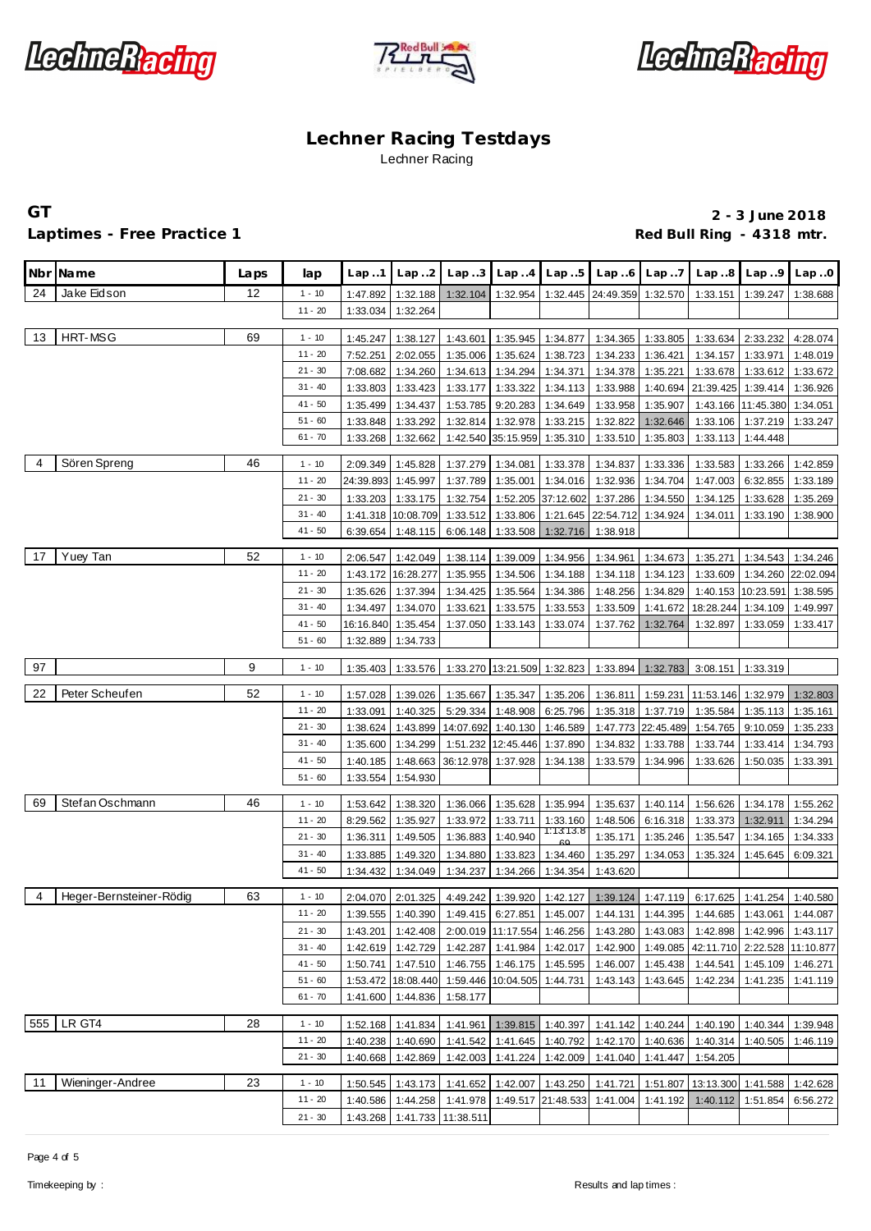





### Laptimes - Free Practice 1 **Red Bull Ring - 4318 mtr. Red Bull Ring - 4318 mtr.**

|                | Nbr Name                | Laps | lap                    | Lap.1                | Lap.2                | Lap. .3              | Lap.4                 | Lap5                                   | Lap.6                | Lap.7                | Lap.8                                                                                 | Lap.9                | Lap.0     |
|----------------|-------------------------|------|------------------------|----------------------|----------------------|----------------------|-----------------------|----------------------------------------|----------------------|----------------------|---------------------------------------------------------------------------------------|----------------------|-----------|
| 24             | Jake Eidson             | 12   | $1 - 10$               | 1:47.892             | 1:32.188             | 1:32.104             | 1:32.954              |                                        | 1:32.445 24:49.359   | 1:32.570             | 1:33.151                                                                              | 1:39.247             | 1:38.688  |
|                |                         |      | $11 - 20$              | 1:33.034             | 1:32.264             |                      |                       |                                        |                      |                      |                                                                                       |                      |           |
|                |                         |      |                        |                      |                      |                      |                       |                                        |                      |                      |                                                                                       |                      |           |
| 13             | HRT-MSG                 | 69   | $1 - 10$               | 1:45.247             | 1:38.127             | 1:43.601             | 1:35.945              | 1:34.877                               | 1:34.365             | 1:33.805             | 1:33.634                                                                              | 2:33.232             | 4:28.074  |
|                |                         |      | $11 - 20$              | 7:52.251             | 2:02.055             | 1:35.006             | 1:35.624              | 1:38.723                               | 1:34.233             | 1:36.421             | 1:34.157                                                                              | 1:33.971             | 1:48.019  |
|                |                         |      | $21 - 30$<br>$31 - 40$ | 7:08.682             | 1:34.260             | 1:34.613             | 1:34.294              | 1:34.371                               | 1:34.378             | 1:35.221             | 1:33.678                                                                              | 1:33.612             | 1:33.672  |
|                |                         |      |                        | 1:33.803             | 1:33.423             | 1:33.177             | 1:33.322              | 1:34.113                               | 1:33.988             |                      | 1:40.694 21:39.425                                                                    | 1:39.414             | 1:36.926  |
|                |                         |      | $41 - 50$<br>$51 - 60$ | 1:35.499             | 1:34.437             | 1:53.785             | 9:20.283              | 1:34.649                               | 1:33.958             | 1:35.907             |                                                                                       | 1:43.166 11:45.380   | 1:34.051  |
|                |                         |      | $61 - 70$              | 1:33.848<br>1:33.268 | 1:33.292<br>1:32.662 | 1:32.814<br>1:42.540 | 1:32.978<br>35:15.959 | 1:33.215<br>1:35.310                   | 1:32.822<br>1:33.510 | 1:32.646<br>1:35.803 | 1:33.106<br>1:33.113                                                                  | 1:37.219<br>1:44.448 | 1:33.247  |
|                |                         |      |                        |                      |                      |                      |                       |                                        |                      |                      |                                                                                       |                      |           |
| $\overline{4}$ | Sören Spreng            | 46   | $1 - 10$               | 2:09.349             | 1:45.828             | 1:37.279             | 1:34.081              | 1:33.378                               | 1:34.837             | 1:33.336             | 1:33.583                                                                              | 1:33.266             | 1:42.859  |
|                |                         |      | $11 - 20$              | 24:39.893            | 1:45.997             | 1:37.789             | 1:35.001              | 1:34.016                               | 1:32.936             | 1:34.704             | 1:47.003                                                                              | 6:32.855             | 1:33.189  |
|                |                         |      | $21 - 30$              | 1:33.203             | 1:33.175             | 1:32.754             | 1:52.205              | 37:12.602                              | 1:37.286             | 1:34.550             | 1:34.125                                                                              | 1:33.628             | 1:35.269  |
|                |                         |      | $31 - 40$              | 1:41.318             | 10:08.709            | 1:33.512             | 1:33.806              |                                        | 1:21.645 22:54.712   | 1:34.924             | 1:34.011                                                                              | 1:33.190             | 1:38.900  |
|                |                         |      | $41 - 50$              | 6:39.654             | 1:48.115             | 6:06.148             | 1:33.508              | 1:32.716                               | 1:38.918             |                      |                                                                                       |                      |           |
| 17             | Yuey Tan                | 52   | $1 - 10$               | 2:06.547             | 1:42.049             | 1:38.114             | 1:39.009              | 1:34.956                               | 1:34.961             | 1:34.673             | 1:35.271                                                                              | 1:34.543             | 1:34.246  |
|                |                         |      | $11 - 20$              | 1:43.172             | 16:28.277            | 1:35.955             | 1:34.506              | 1:34.188                               | 1:34.118             | 1:34.123             | 1:33.609                                                                              | 1:34.260             | 22:02.094 |
|                |                         |      | $21 - 30$              | 1:35.626             | 1:37.394             | 1:34.425             | 1:35.564              | 1:34.386                               | 1:48.256             | 1:34.829             | 1:40.153                                                                              | 10:23.591            | 1:38.595  |
|                |                         |      | $31 - 40$              | 1:34.497             | 1:34.070             | 1:33.621             | 1:33.575              | 1:33.553                               | 1:33.509             | 1:41.672             | 18:28.244                                                                             | 1:34.109             | 1:49.997  |
|                |                         |      | $41 - 50$              |                      | 16:16.840 1:35.454   | 1:37.050             | 1:33.143              | 1:33.074                               | 1:37.762             | 1:32.764             | 1:32.897                                                                              | 1:33.059             | 1:33.417  |
|                |                         |      | $51 - 60$              | 1:32.889             | 1:34.733             |                      |                       |                                        |                      |                      |                                                                                       |                      |           |
|                |                         |      |                        |                      |                      |                      |                       |                                        |                      |                      |                                                                                       |                      |           |
| 97             |                         | 9    | $1 - 10$               | 1:35.403             | 1:33.576             |                      |                       | 1:33.270 13:21.509 1:32.823            | 1:33.894             | 1:32.783             | 3:08.151                                                                              | 1:33.319             |           |
| 22             | Peter Scheufen          | 52   | $1 - 10$               | 1:57.028             | 1:39.026             | 1:35.667             | 1:35.347              | 1:35.206                               | 1:36.811             | 1:59.231             | 11:53.146                                                                             | 1:32.979             | 1:32.803  |
|                |                         |      | $11 - 20$              | 1:33.091             | 1:40.325             | 5:29.334             | 1:48.908              | 6:25.796                               | 1:35.318             | 1:37.719             | 1:35.584                                                                              | 1:35.113             | 1:35.161  |
|                |                         |      | $21 - 30$              | 1:38.624             | 1:43.899             | 14:07.692            | 1:40.130              | 1:46.589                               |                      | 1:47.773 22:45.489   | 1:54.765                                                                              | 9:10.059             | 1:35.233  |
|                |                         |      | $31 - 40$              | 1:35.600             | 1:34.299             | 1:51.232             | 12:45.446             | 1:37.890                               | 1:34.832             | 1:33.788             | 1:33.744                                                                              | 1:33.414             | 1:34.793  |
|                |                         |      | $41 - 50$              | 1:40.185             | 1:48.663             | 36:12.978            | 1:37.928              | 1:34.138                               | 1:33.579             | 1:34.996             | 1:33.626                                                                              | 1:50.035             | 1:33.391  |
|                |                         |      | $51 - 60$              | 1:33.554             | 1:54.930             |                      |                       |                                        |                      |                      |                                                                                       |                      |           |
|                |                         |      |                        |                      |                      |                      |                       |                                        |                      |                      |                                                                                       |                      |           |
| 69             | Stefan Oschmann         | 46   | $1 - 10$               | 1:53.642             | 1:38.320             | 1:36.066             | 1:35.628              | 1:35.994                               | 1:35.637             | 1:40.114             | 1:56.626                                                                              | 1:34.178             | 1:55.262  |
|                |                         |      | $11 - 20$              | 8:29.562             | 1:35.927             | 1:33.972             | 1:33.711              | 1:33.160<br>1:13:13.8                  | 1:48.506             | 6:16.318             | 1:33.373                                                                              | 1:32.911             | 1:34.294  |
|                |                         |      | $21 - 30$              | 1:36.311             | 1:49.505             | 1:36.883             | 1:40.940              |                                        | 1:35.171             | 1:35.246             | 1:35.547                                                                              | 1:34.165             | 1:34.333  |
|                |                         |      | $31 - 40$              | 1:33.885             | 1:49.320             | 1:34.880             | 1:33.823              | 1:34.460                               | 1:35.297             | 1:34.053             | 1:35.324                                                                              | 1:45.645             | 6:09.321  |
|                |                         |      | $41 - 50$              | 1:34.432             | 1:34.049             | 1:34.237             | 1:34.266              | 1:34.354                               | 1:43.620             |                      |                                                                                       |                      |           |
| 4              | Heger-Bernsteiner-Rödig | 63   | $1 - 10$               | 2:04.070             | 2:01.325             | 4:49.242             | 1:39.920              | 1:42.127                               | 1:39.124             | 1:47.119             | 6:17.625                                                                              | 1:41.254             | 1:40.580  |
|                |                         |      | 11 - 20                |                      | 1:39.555 1:40.390    |                      |                       |                                        |                      |                      | 1:49.415   6:27.851   1:45.007   1:44.131   1:44.395   1:44.685   1:43.061   1:44.087 |                      |           |
|                |                         |      | $21 - 30$              | 1:43.201             | 1:42.408             |                      |                       | 2:00.019 11:17.554 1:46.256            |                      |                      | 1:43.280   1:43.083   1:42.898   1:42.996   1:43.117                                  |                      |           |
|                |                         |      | $31 - 40$              | 1:42.619             | 1:42.729             | 1:42.287             |                       | 1:41.984 1:42.017                      | 1:42.900             |                      | 1:49.085 42:11.710 2:22.528 11:10.877                                                 |                      |           |
|                |                         |      | $41 - 50$              | 1:50.741             | 1:47.510             |                      |                       | 1:46.755 1:46.175 1:45.595             | 1:46.007             | 1:45.438             | 1:44.541                                                                              | 1:45.109             | 1:46.271  |
|                |                         |      | $51 - 60$              |                      | 1:53.472 18:08.440   |                      |                       | 1:59.446 10:04.505 1:44.731            |                      | 1:43.143 1:43.645    | 1:42.234                                                                              | 1:41.235             | 1:41.119  |
|                |                         |      | $61 - 70$              | 1:41.600             | 1:44.836             | 1:58.177             |                       |                                        |                      |                      |                                                                                       |                      |           |
| 555            | LR GT4                  | 28   | $1 - 10$               |                      |                      |                      |                       |                                        |                      |                      |                                                                                       |                      |           |
|                |                         |      | $11 - 20$              | 1:52.168<br>1:40.238 | 1:41.834             | 1:41.961             | 1:39.815              | 1:40.397                               |                      | 1:41.142 1:40.244    | 1:40.190                                                                              | 1:40.344             | 1:39.948  |
|                |                         |      | $21 - 30$              | 1:40.668             | 1:40.690<br>1:42.869 | 1:42.003             | 1:41.224              | 1:41.542 1:41.645 1:40.792<br>1:42.009 | 1:41.040             | 1:41.447             | 1:42.170 1:40.636 1:40.314<br>1:54.205                                                | 1:40.505             | 1:46.119  |
|                |                         |      |                        |                      |                      |                      |                       |                                        |                      |                      |                                                                                       |                      |           |
| 11             | Wieninger-Andree        | 23   | $1 - 10$               | 1:50.545             | 1:43.173             | 1:41.652             | 1:42.007              | 1:43.250                               | 1:41.721             | 1:51.807             | 13:13.300                                                                             | 1:41.588             | 1:42.628  |
|                |                         |      | $11 - 20$              | 1:40.586             | 1:44.258             | 1:41.978             |                       | 1:49.517 21:48.533                     | 1:41.004             | 1:41.192             | 1:40.112                                                                              | 1:51.854             | 6:56.272  |
|                |                         |      | $21 - 30$              | 1:43.268             | 1:41.733             | 11:38.511            |                       |                                        |                      |                      |                                                                                       |                      |           |